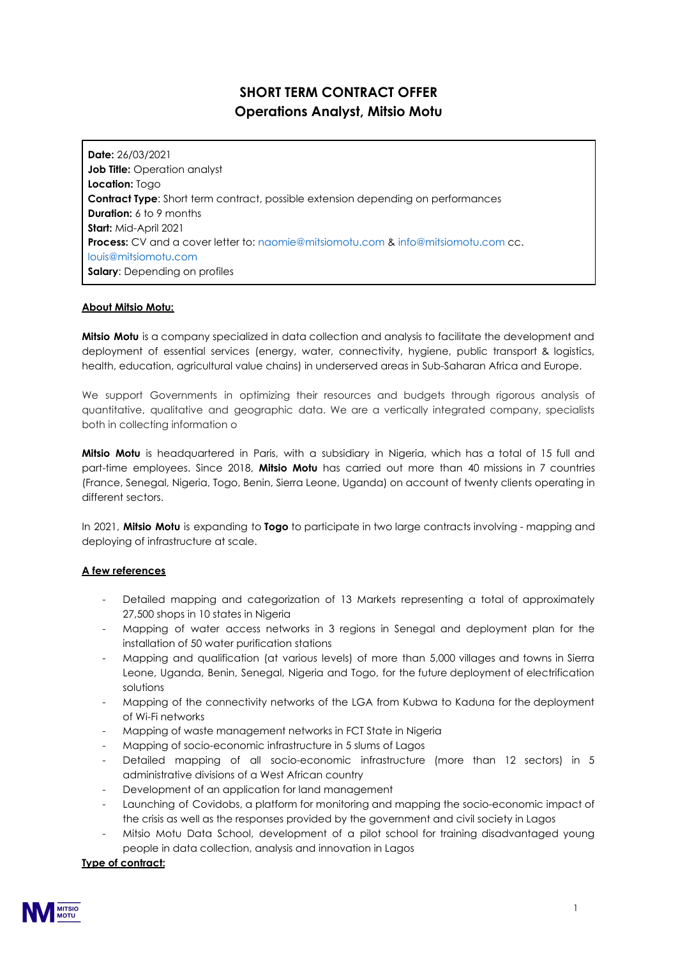# **SHORT TERM CONTRACT OFFER Operations Analyst, Mitsio Motu**

**Date:** 26/03/2021 **Job Title:** Operation analyst **Location:** Togo **Contract Type**: Short term contract, possible extension depending on performances **Duration:** 6 to 9 months **Start:** Mid-April 2021 **Process:** CV and a cover letter to: naomie@mitsiomotu.com & info@mitsiomotu.com cc. louis@mitsiomotu.com **Salary**: Depending on profiles

## **About Mitsio Motu:**

**Mitsio Motu** is a company specialized in data collection and analysis to facilitate the development and deployment of essential services (energy, water, connectivity, hygiene, public transport & logistics, health, education, agricultural value chains) in underserved areas in Sub-Saharan Africa and Europe.

We support Governments in optimizing their resources and budgets through rigorous analysis of quantitative, qualitative and geographic data. We are a vertically integrated company, specialists both in collecting information o

**Mitsio Motu** is headquartered in Paris, with a subsidiary in Nigeria, which has a total of 15 full and part-time employees. Since 2018, **Mitsio Motu** has carried out more than 40 missions in 7 countries (France, Senegal, Nigeria, Togo, Benin, Sierra Leone, Uganda) on account of twenty clients operating in different sectors.

In 2021, **Mitsio Motu** is expanding to **Togo** to participate in two large contracts involving - mapping and deploying of infrastructure at scale.

### **A few references**

- Detailed mapping and categorization of 13 Markets representing a total of approximately 27,500 shops in 10 states in Nigeria
- Mapping of water access networks in 3 regions in Senegal and deployment plan for the installation of 50 water purification stations
- Mapping and qualification (at various levels) of more than 5,000 villages and towns in Sierra Leone, Uganda, Benin, Senegal, Nigeria and Togo, for the future deployment of electrification solutions
- Mapping of the connectivity networks of the LGA from Kubwa to Kaduna for the deployment of Wi-Fi networks
- Mapping of waste management networks in FCT State in Nigeria
- Mapping of socio-economic infrastructure in 5 slums of Lagos
- Detailed mapping of all socio-economic infrastructure (more than 12 sectors) in 5 administrative divisions of a West African country
- Development of an application for land management
- Launching of Covidobs, a platform for monitoring and mapping the socio-economic impact of the crisis as well as the responses provided by the government and civil society in Lagos
- Mitsio Motu Data School, development of a pilot school for training disadvantaged young people in data collection, analysis and innovation in Lagos

### **Type of contract:**

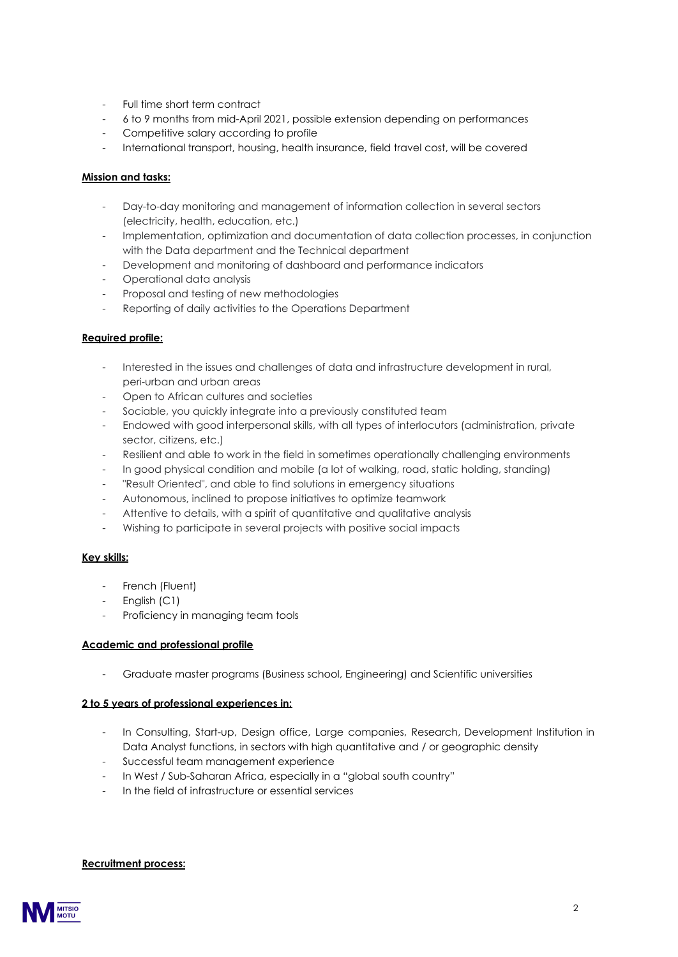- Full time short term contract
- 6 to 9 months from mid-April 2021, possible extension depending on performances
- Competitive salary according to profile
- International transport, housing, health insurance, field travel cost, will be covered

## **Mission and tasks:**

- Day-to-day monitoring and management of information collection in several sectors (electricity, health, education, etc.)
- Implementation, optimization and documentation of data collection processes, in conjunction with the Data department and the Technical department
- Development and monitoring of dashboard and performance indicators
- Operational data analysis
- Proposal and testing of new methodologies
- Reporting of daily activities to the Operations Department

## **Required profile:**

- Interested in the issues and challenges of data and infrastructure development in rural, peri-urban and urban areas
- Open to African cultures and societies
- Sociable, you quickly integrate into a previously constituted team
- Endowed with good interpersonal skills, with all types of interlocutors (administration, private sector, citizens, etc.)
- Resilient and able to work in the field in sometimes operationally challenging environments
- In good physical condition and mobile (a lot of walking, road, static holding, standing)
- "Result Oriented", and able to find solutions in emergency situations
- Autonomous, inclined to propose initiatives to optimize teamwork
- Attentive to details, with a spirit of quantitative and qualitative analysis
- Wishing to participate in several projects with positive social impacts

### **Key skills:**

- French (Fluent)
- English (C1)
- Proficiency in managing team tools

### **Academic and professional profile**

- Graduate master programs (Business school, Engineering) and Scientific universities

### **2 to 5 years of professional experiences in:**

- In Consulting, Start-up, Design office, Large companies, Research, Development Institution in Data Analyst functions, in sectors with high quantitative and / or geographic density
- Successful team management experience
- In West / Sub-Saharan Africa, especially in a "global south country"
- In the field of infrastructure or essential services

#### **Recruitment process:**